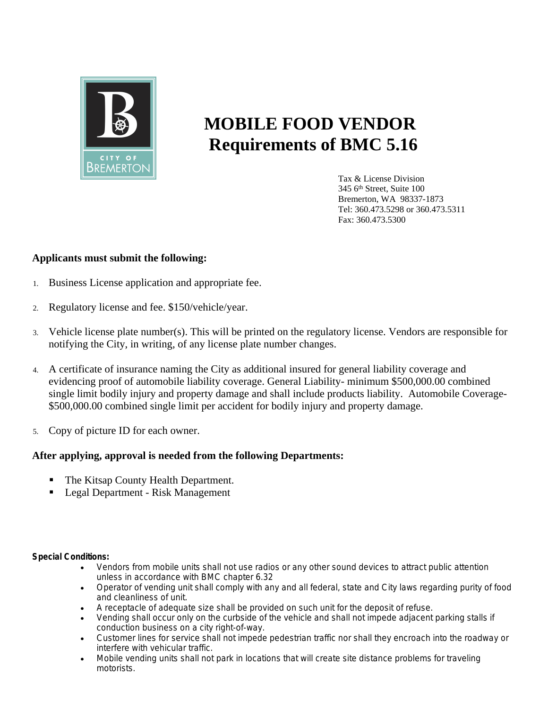

## **MOBILE FOOD VENDOR Requirements of BMC 5.16**

Tax & License Division 345 6th Street, Suite 100 Bremerton, WA 98337-1873 Tel: 360.473.5298 or 360.473.5311 Fax: 360.473.5300

## **Applicants must submit the following:**

- 1. Business License application and appropriate fee.
- 2. Regulatory license and fee. \$150/vehicle/year.
- 3. Vehicle license plate number(s). This will be printed on the regulatory license. Vendors are responsible for notifying the City, in writing, of any license plate number changes.
- 4. A certificate of insurance naming the City as additional insured for general liability coverage and evidencing proof of automobile liability coverage. General Liability- minimum \$500,000.00 combined single limit bodily injury and property damage and shall include products liability. Automobile Coverage- \$500,000.00 combined single limit per accident for bodily injury and property damage.
- 5. Copy of picture ID for each owner.

## **After applying, approval is needed from the following Departments:**

- The Kitsap County Health Department.
- Legal Department Risk Management

## **Special Conditions:**

- Vendors from mobile units shall not use radios or any other sound devices to attract public attention unless in accordance with BMC chapter 6.32
- Operator of vending unit shall comply with any and all federal, state and City laws regarding purity of food and cleanliness of unit.
- A receptacle of adequate size shall be provided on such unit for the deposit of refuse.
- Vending shall occur only on the curbside of the vehicle and shall not impede adjacent parking stalls if conduction business on a city right-of-way.
- Customer lines for service shall not impede pedestrian traffic nor shall they encroach into the roadway or interfere with vehicular traffic.
- Mobile vending units shall not park in locations that will create site distance problems for traveling motorists.